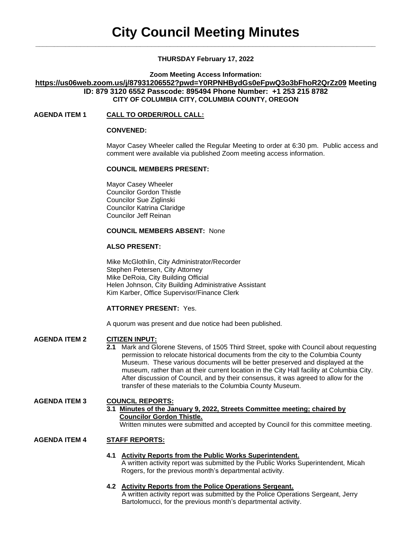# **THURSDAY February 17, 2022**

**Zoom Meeting Access Information:**

**<https://us06web.zoom.us/j/87931206552?pwd=Y0RPNHBydGs0eFpwQ3o3bFhoR2QrZz09> Meeting ID: 879 3120 6552 Passcode: 895494 Phone Number: +1 253 215 8782 CITY OF COLUMBIA CITY, COLUMBIA COUNTY, OREGON**

# **AGENDA ITEM 1 CALL TO ORDER/ROLL CALL:**

# **CONVENED:**

Mayor Casey Wheeler called the Regular Meeting to order at 6:30 pm. Public access and comment were available via published Zoom meeting access information.

### **COUNCIL MEMBERS PRESENT:**

Mayor Casey Wheeler Councilor Gordon Thistle Councilor Sue Ziglinski Councilor Katrina Claridge Councilor Jeff Reinan

### **COUNCIL MEMBERS ABSENT:** None

### **ALSO PRESENT:**

Mike McGlothlin, City Administrator/Recorder Stephen Petersen, City Attorney Mike DeRoia, City Building Official Helen Johnson, City Building Administrative Assistant Kim Karber, Office Supervisor/Finance Clerk

## **ATTORNEY PRESENT:** Yes.

A quorum was present and due notice had been published.

## **AGENDA ITEM 2 CITIZEN INPUT:**

**2.1** Mark and Glorene Stevens, of 1505 Third Street, spoke with Council about requesting permission to relocate historical documents from the city to the Columbia County Museum. These various documents will be better preserved and displayed at the museum, rather than at their current location in the City Hall facility at Columbia City. After discussion of Council, and by their consensus, it was agreed to allow for the transfer of these materials to the Columbia County Museum.

## **AGENDA ITEM 3 COUNCIL REPORTS:**

# **3.1 Minutes of the January 9, 2022, Streets Committee meeting; chaired by Councilor Gordon Thistle.**

Written minutes were submitted and accepted by Council for this committee meeting.

## **AGENDA ITEM 4 STAFF REPORTS:**

# **4.1 Activity Reports from the Public Works Superintendent.**

A written activity report was submitted by the Public Works Superintendent, Micah Rogers, for the previous month's departmental activity.

# **4.2 Activity Reports from the Police Operations Sergeant.**

A written activity report was submitted by the Police Operations Sergeant, Jerry Bartolomucci, for the previous month's departmental activity.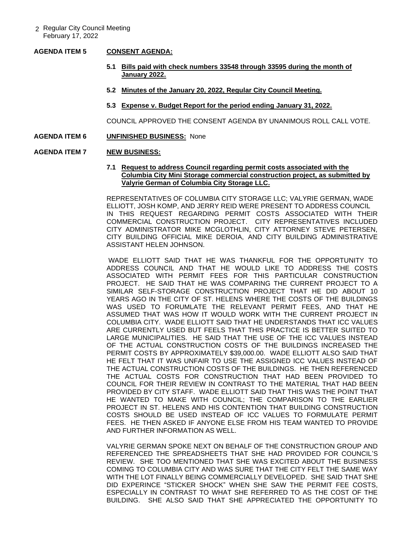### **AGENDA ITEM 5 CONSENT AGENDA:**

- **5.1 Bills paid with check numbers 33548 through 33595 during the month of January 2022.**
- **5.2 Minutes of the January 20, 2022, Regular City Council Meeting.**
- **5.3 Expense v. Budget Report for the period ending January 31, 2022.**

COUNCIL APPROVED THE CONSENT AGENDA BY UNANIMOUS ROLL CALL VOTE.

#### **AGENDA ITEM 6 UNFINISHED BUSINESS:** None

#### **AGENDA ITEM 7 NEW BUSINESS:**

#### **7.1 Request to address Council regarding permit costs associated with the Columbia City Mini Storage commercial construction project, as submitted by Valyrie German of Columbia City Storage LLC.**

REPRESENTATIVES OF COLUMBIA CITY STORAGE LLC; VALYRIE GERMAN, WADE ELLIOTT, JOSH KOMP, AND JERRY REID WERE PRESENT TO ADDRESS COUNCIL IN THIS REQUEST REGARDING PERMIT COSTS ASSOCIATED WITH THEIR COMMERCIAL CONSTRUCTION PROJECT. CITY REPRESENTATIVES INCLUDED CITY ADMINISTRATOR MIKE MCGLOTHLIN, CITY ATTORNEY STEVE PETERSEN, CITY BUILDING OFFICIAL MIKE DEROIA, AND CITY BUILDING ADMINISTRATIVE ASSISTANT HELEN JOHNSON.

WADE ELLIOTT SAID THAT HE WAS THANKFUL FOR THE OPPORTUNITY TO ADDRESS COUNCIL AND THAT HE WOULD LIKE TO ADDRESS THE COSTS ASSOCIATED WITH PERMIT FEES FOR THIS PARTICULAR CONSTRUCTION PROJECT. HE SAID THAT HE WAS COMPARING THE CURRENT PROJECT TO A SIMILAR SELF-STORAGE CONSTRUCTION PROJECT THAT HE DID ABOUT 10 YEARS AGO IN THE CITY OF ST. HELENS WHERE THE COSTS OF THE BUILDINGS WAS USED TO FORUMLATE THE RELEVANT PERMIT FEES, AND THAT HE ASSUMED THAT WAS HOW IT WOULD WORK WITH THE CURRENT PROJECT IN COLUMBIA CITY. WADE ELLIOTT SAID THAT HE UNDERSTANDS THAT ICC VALUES ARE CURRENTLY USED BUT FEELS THAT THIS PRACTICE IS BETTER SUITED TO LARGE MUNICIPALITIES. HE SAID THAT THE USE OF THE ICC VALUES INSTEAD OF THE ACTUAL CONSTRUCTION COSTS OF THE BUILDINGS INCREASED THE PERMIT COSTS BY APPROXIMATELY \$39,000.00. WADE ELLIOTT ALSO SAID THAT HE FELT THAT IT WAS UNFAIR TO USE THE ASSIGNED ICC VALUES INSTEAD OF THE ACTUAL CONSTRUCTION COSTS OF THE BUILDINGS. HE THEN REFERENCED THE ACTUAL COSTS FOR CONSTRUCTION THAT HAD BEEN PROVIDED TO COUNCIL FOR THEIR REVIEW IN CONTRAST TO THE MATERIAL THAT HAD BEEN PROVIDED BY CITY STAFF. WADE ELLIOTT SAID THAT THIS WAS THE POINT THAT HE WANTED TO MAKE WITH COUNCIL; THE COMPARISON TO THE EARLIER PROJECT IN ST. HELENS AND HIS CONTENTION THAT BUILDING CONSTRUCTION COSTS SHOULD BE USED INSTEAD OF ICC VALUES TO FORMULATE PERMIT FEES. HE THEN ASKED IF ANYONE ELSE FROM HIS TEAM WANTED TO PROVIDE AND FURTHER INFORMATION AS WELL.

VALYRIE GERMAN SPOKE NEXT ON BEHALF OF THE CONSTRUCTION GROUP AND REFERENCED THE SPREADSHEETS THAT SHE HAD PROVIDED FOR COUNCIL'S REVIEW. SHE TOO MENTIONED THAT SHE WAS EXCITED ABOUT THE BUSINESS COMING TO COLUMBIA CITY AND WAS SURE THAT THE CITY FELT THE SAME WAY WITH THE LOT FINALLY BEING COMMERCIALLY DEVELOPED. SHE SAID THAT SHE DID EXPERINCE "STICKER SHOCK" WHEN SHE SAW THE PERMIT FEE COSTS, ESPECIALLY IN CONTRAST TO WHAT SHE REFERRED TO AS THE COST OF THE BUILDING. SHE ALSO SAID THAT SHE APPRECIATED THE OPPORTUNITY TO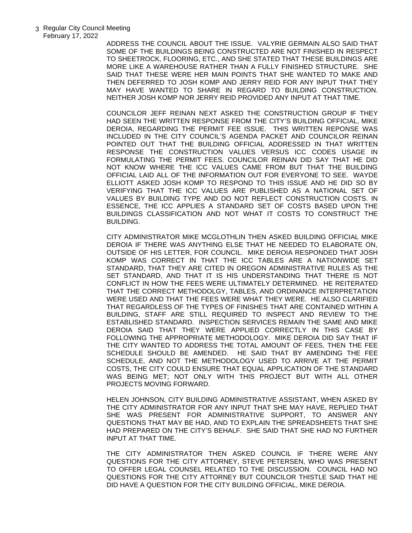ADDRESS THE COUNCIL ABOUT THE ISSUE. VALYRIE GERMAIN ALSO SAID THAT SOME OF THE BUILDINGS BEING CONSTRUCTED ARE NOT FINISHED IN RESPECT TO SHEETROCK, FLOORING, ETC., AND SHE STATED THAT THESE BUILDINGS ARE MORE LIKE A WAREHOUSE RATHER THAN A FULLY FINISHED STRUCTURE. SHE SAID THAT THESE WERE HER MAIN POINTS THAT SHE WANTED TO MAKE AND THEN DEFERRED TO JOSH KOMP AND JERRY REID FOR ANY INPUT THAT THEY MAY HAVE WANTED TO SHARE IN REGARD TO BUILDING CONSTRUCTION. NEITHER JOSH KOMP NOR JERRY REID PROVIDED ANY INPUT AT THAT TIME.

COUNCILOR JEFF REINAN NEXT ASKED THE CONSTRUCTION GROUP IF THEY HAD SEEN THE WRITTEN RESPONSE FROM THE CITY'S BUILDING OFFICIAL, MIKE DEROIA, REGARDING THE PERMIT FEE ISSUE. THIS WRITTEN REPONSE WAS INCLUDED IN THE CITY COUNCIL'S AGENDA PACKET AND COUNCILOR REINAN POINTED OUT THAT THE BUILDING OFFICIAL ADDRESSED IN THAT WRITTEN RESPONSE THE CONSTRUCTION VALUES VERSUS ICC CODES USAGE IN FORMULATING THE PERMIT FEES. COUNCILOR REINAN DID SAY THAT HE DID NOT KNOW WHERE THE ICC VALUES CAME FROM BUT THAT THE BUILDING OFFICIAL LAID ALL OF THE INFORMATION OUT FOR EVERYONE TO SEE. WAYDE ELLIOTT ASKED JOSH KOMP TO RESPOND TO THIS ISSUE AND HE DID SO BY VERIFYING THAT THE ICC VALUES ARE PUBLISHED AS A NATIONAL SET OF VALUES BY BUILDING TYPE AND DO NOT REFLECT CONSTRUCTION COSTS. IN ESSENCE, THE ICC APPLIES A STANDARD SET OF COSTS BASED UPON THE BUILDINGS CLASSIFICATION AND NOT WHAT IT COSTS TO CONSTRUCT THE BUILDING.

CITY ADMINISTRATOR MIKE MCGLOTHLIN THEN ASKED BUILDING OFFICIAL MIKE DEROIA IF THERE WAS ANYTHING ELSE THAT HE NEEDED TO ELABORATE ON, OUTSIDE OF HIS LETTER, FOR COUNCIL. MIKE DEROIA RESPONDED THAT JOSH KOMP WAS CORRECT IN THAT THE ICC TABLES ARE A NATIONWIDE SET STANDARD, THAT THEY ARE CITED IN OREGON ADMINISTRATIVE RULES AS THE SET STANDARD, AND THAT IT IS HIS UNDERSTANDING THAT THERE IS NOT CONFLICT IN HOW THE FEES WERE ULTIMATELY DETERMINED. HE REITERATED THAT THE CORRECT METHODOLGY, TABLES, AND ORDINANCE INTERPRETATION WERE USED AND THAT THE FEES WERE WHAT THEY WERE. HE ALSO CLARIFIED THAT REGARDLESS OF THE TYPES OF FINISHES THAT ARE CONTAINED WITHIN A BUILDING, STAFF ARE STILL REQUIRED TO INSPECT AND REVIEW TO THE ESTABLISHED STANDARD. INSPECTION SERVICES REMAIN THE SAME AND MIKE DEROIA SAID THAT THEY WERE APPLIED CORRECTLY IN THIS CASE BY FOLLOWING THE APPROPRIATE METHODOLOGY. MIKE DEROIA DID SAY THAT IF THE CITY WANTED TO ADDRESS THE TOTAL AMOUNT OF FEES, THEN THE FEE SCHEDULE SHOULD BE AMENDED. HE SAID THAT BY AMENDING THE FEE SCHEDULE, AND NOT THE METHODOLOGY USED TO ARRIVE AT THE PERMIT COSTS, THE CITY COULD ENSURE THAT EQUAL APPLICATION OF THE STANDARD WAS BEING MET; NOT ONLY WITH THIS PROJECT BUT WITH ALL OTHER PROJECTS MOVING FORWARD.

HELEN JOHNSON, CITY BUILDING ADMINISTRATIVE ASSISTANT, WHEN ASKED BY THE CITY ADMINISTRATOR FOR ANY INPUT THAT SHE MAY HAVE, REPLIED THAT SHE WAS PRESENT FOR ADMINISTRATIVE SUPPORT, TO ANSWER ANY QUESTIONS THAT MAY BE HAD, AND TO EXPLAIN THE SPREADSHEETS THAT SHE HAD PREPARED ON THE CITY'S BEHALF. SHE SAID THAT SHE HAD NO FURTHER INPUT AT THAT TIME.

THE CITY ADMINISTRATOR THEN ASKED COUNCIL IF THERE WERE ANY QUESTIONS FOR THE CITY ATTORNEY, STEVE PETERSEN, WHO WAS PRESENT TO OFFER LEGAL COUNSEL RELATED TO THE DISCUSSION. COUNCIL HAD NO QUESTIONS FOR THE CITY ATTORNEY BUT COUNCILOR THISTLE SAID THAT HE DID HAVE A QUESTION FOR THE CITY BUILDING OFFICIAL, MIKE DEROIA.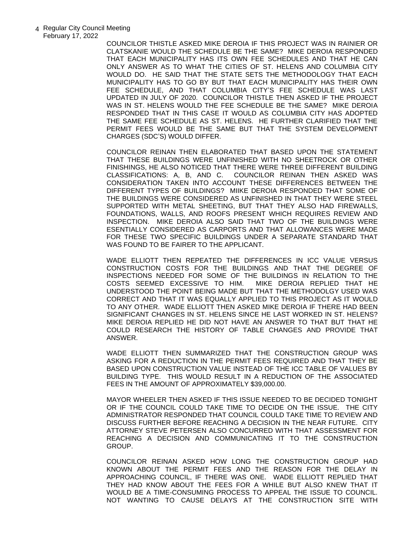COUNCILOR THISTLE ASKED MIKE DEROIA IF THIS PROJECT WAS IN RAINIER OR CLATSKANIE WOULD THE SCHEDULE BE THE SAME? MIKE DEROIA RESPONDED THAT EACH MUNICIPALITY HAS ITS OWN FEE SCHEDULES AND THAT HE CAN ONLY ANSWER AS TO WHAT THE CITIES OF ST. HELENS AND COLUMBIA CITY WOULD DO. HE SAID THAT THE STATE SETS THE METHODOLOGY THAT EACH MUNICIPALITY HAS TO GO BY BUT THAT EACH MUNICIPALITY HAS THEIR OWN FEE SCHEDULE, AND THAT COLUMBIA CITY'S FEE SCHEDULE WAS LAST UPDATED IN JULY OF 2020. COUNCILOR THISTLE THEN ASKED IF THE PROJECT WAS IN ST. HELENS WOULD THE FEE SCHEDULE BE THE SAME? MIKE DEROIA RESPONDED THAT IN THIS CASE IT WOULD AS COLUMBIA CITY HAS ADOPTED THE SAME FEE SCHEDULE AS ST. HELENS. HE FURTHER CLARIFIED THAT THE PERMIT FEES WOULD BE THE SAME BUT THAT THE SYSTEM DEVELOPMENT CHARGES (SDC'S) WOULD DIFFER.

COUNCILOR REINAN THEN ELABORATED THAT BASED UPON THE STATEMENT THAT THESE BUILDINGS WERE UNFINISHED WITH NO SHEETROCK OR OTHER FINISHINGS, HE ALSO NOTICED THAT THERE WERE THREE DIFFERENT BUILDING CLASSIFICATIONS: A, B, AND C. COUNCILOR REINAN THEN ASKED WAS CONSIDERATION TAKEN INTO ACCOUNT THESE DIFFERENCES BETWEEN THE DIFFERENT TYPES OF BUILDINGS? MIIKE DEROIA RESPONDED THAT SOME OF THE BUILDINGS WERE CONSIDERED AS UNFINISHED IN THAT THEY WERE STEEL SUPPORTED WITH METAL SHEETING, BUT THAT THEY ALSO HAD FIREWALLS, FOUNDATIONS, WALLS, AND ROOFS PRESENT WHICH REQUIRES REVIEW AND INSPECTION. MIKE DEROIA ALSO SAID THAT TWO OF THE BUILDINGS WERE ESENTIALLY CONSIDERED AS CARPORTS AND THAT ALLOWANCES WERE MADE FOR THESE TWO SPECIFIC BUILDINGS UNDER A SEPARATE STANDARD THAT WAS FOUND TO BE FAIRER TO THE APPLICANT.

WADE ELLIOTT THEN REPEATED THE DIFFERENCES IN ICC VALUE VERSUS CONSTRUCTION COSTS FOR THE BUILDINGS AND THAT THE DEGREE OF INSPECTIONS NEEDED FOR SOME OF THE BUILDINGS IN RELATION TO THE COSTS SEEMED EXCESSIVE TO HIM. MIKE DEROIA REPLIED THAT HE UNDERSTOOD THE POINT BEING MADE BUT THAT THE METHODOLGY USED WAS CORRECT AND THAT IT WAS EQUALLY APPLIED TO THIS PROJECT AS IT WOULD TO ANY OTHER. WADE ELLIOTT THEN ASKED MIKE DEROIA IF THERE HAD BEEN SIGNIFICANT CHANGES IN ST. HELENS SINCE HE LAST WORKED IN ST. HELENS? MIKE DEROIA REPLIED HE DID NOT HAVE AN ANSWER TO THAT BUT THAT HE COULD RESEARCH THE HISTORY OF TABLE CHANGES AND PROVIDE THAT ANSWER.

WADE ELLIOTT THEN SUMMARIZED THAT THE CONSTRUCTION GROUP WAS ASKING FOR A REDUCTION IN THE PERMIT FEES REQUIRED AND THAT THEY BE BASED UPON CONSTRUCTION VALUE INSTEAD OF THE ICC TABLE OF VALUES BY BUILDING TYPE. THIS WOULD RESULT IN A REDUCTION OF THE ASSOCIATED FEES IN THE AMOUNT OF APPROXIMATELY \$39,000.00.

MAYOR WHEELER THEN ASKED IF THIS ISSUE NEEDED TO BE DECIDED TONIGHT OR IF THE COUNCIL COULD TAKE TIME TO DECIDE ON THE ISSUE. THE CITY ADMINISTRATOR RESPONDED THAT COUNCIL COULD TAKE TIME TO REVIEW AND DISCUSS FURTHER BEFORE REACHING A DECISION IN THE NEAR FUTURE. CITY ATTORNEY STEVE PETERSEN ALSO CONCURRED WITH THAT ASSESSMENT FOR REACHING A DECISION AND COMMUNICATING IT TO THE CONSTRUCTION GROUP.

COUNCILOR REINAN ASKED HOW LONG THE CONSTRUCTION GROUP HAD KNOWN ABOUT THE PERMIT FEES AND THE REASON FOR THE DELAY IN APPROACHING COUNCIL, IF THERE WAS ONE. WADE ELLIOTT REPLIED THAT THEY HAD KNOW ABOUT THE FEES FOR A WHILE BUT ALSO KNEW THAT IT WOULD BE A TIME-CONSUMING PROCESS TO APPEAL THE ISSUE TO COUNCIL. NOT WANTING TO CAUSE DELAYS AT THE CONSTRUCTION SITE WITH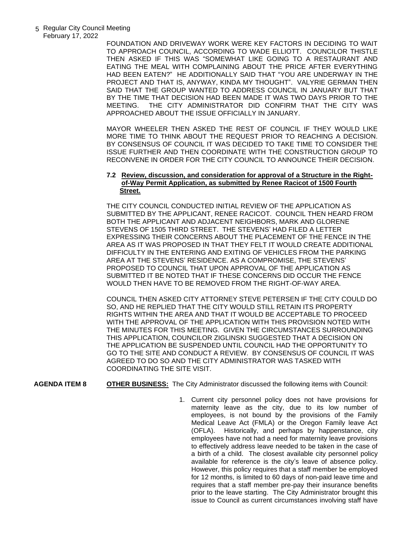FOUNDATION AND DRIVEWAY WORK WERE KEY FACTORS IN DECIDING TO WAIT TO APPROACH COUNCIL, ACCORDING TO WADE ELLIOTT. COUNCILOR THISTLE THEN ASKED IF THIS WAS "SOMEWHAT LIKE GOING TO A RESTAURANT AND EATING THE MEAL WITH COMPLAINING ABOUT THE PRICE AFTER EVERYTHING HAD BEEN EATEN?" HE ADDITIONALLY SAID THAT "YOU ARE UNDERWAY IN THE PROJECT AND THAT IS, ANYWAY, KINDA MY THOUGHT". VALYRIE GERMAN THEN SAID THAT THE GROUP WANTED TO ADDRESS COUNCIL IN JANUARY BUT THAT BY THE TIME THAT DECISION HAD BEEN MADE IT WAS TWO DAYS PRIOR TO THE MEETING. THE CITY ADMINISTRATOR DID CONFIRM THAT THE CITY WAS APPROACHED ABOUT THE ISSUE OFFICIALLY IN JANUARY.

MAYOR WHEELER THEN ASKED THE REST OF COUNCIL IF THEY WOULD LIKE MORE TIME TO THINK ABOUT THE REQUEST PRIOR TO REACHING A DECISION. BY CONSENSUS OF COUNCIL IT WAS DECIDED TO TAKE TIME TO CONSIDER THE ISSUE FURTHER AND THEN COORDINATE WITH THE CONSTRUCTION GROUP TO RECONVENE IN ORDER FOR THE CITY COUNCIL TO ANNOUNCE THEIR DECISION.

## **7.2 Review, discussion, and consideration for approval of a Structure in the Right of-Way Permit Application, as submitted by Renee Racicot of 1500 Fourth Street.**

THE CITY COUNCIL CONDUCTED INITIAL REVIEW OF THE APPLICATION AS SUBMITTED BY THE APPLICANT, RENEE RACICOT. COUNCIL THEN HEARD FROM BOTH THE APPLICANT AND ADJACENT NEIGHBORS, MARK AND GLORENE STEVENS OF 1505 THIRD STREET. THE STEVENS' HAD FILED A LETTER EXPRESSING THEIR CONCERNS ABOUT THE PLACEMENT OF THE FENCE IN THE AREA AS IT WAS PROPOSED IN THAT THEY FELT IT WOULD CREATE ADDITIONAL DIFFICULTY IN THE ENTERING AND EXITING OF VEHICLES FROM THE PARKING AREA AT THE STEVENS' RESIDENCE. AS A COMPROMISE, THE STEVENS' PROPOSED TO COUNCIL THAT UPON APPROVAL OF THE APPLICATION AS SUBMITTED IT BE NOTED THAT IF THESE CONCERNS DID OCCUR THE FENCE WOULD THEN HAVE TO BE REMOVED FROM THE RIGHT-OF-WAY AREA.

COUNCIL THEN ASKED CITY ATTORNEY STEVE PETERSEN IF THE CITY COULD DO SO, AND HE REPLIED THAT THE CITY WOULD STILL RETAIN ITS PROPERTY RIGHTS WITHIN THE AREA AND THAT IT WOULD BE ACCEPTABLE TO PROCEED WITH THE APPROVAL OF THE APPLICATION WITH THIS PROVISION NOTED WITH THE MINUTES FOR THIS MEETING. GIVEN THE CIRCUMSTANCES SURROUNDING THIS APPLICATION, COUNCILOR ZIGLINSKI SUGGESTED THAT A DECISION ON THE APPLICATION BE SUSPENDED UNTIL COUNCIL HAD THE OPPORTUNITY TO GO TO THE SITE AND CONDUCT A REVIEW. BY CONSENSUS OF COUNCIL IT WAS AGREED TO DO SO AND THE CITY ADMINISTRATOR WAS TASKED WITH COORDINATING THE SITE VISIT.

**AGENDA ITEM 8 OTHER BUSINESS:** The City Administrator discussed the following items with Council:

1. Current city personnel policy does not have provisions for maternity leave as the city, due to its low number of employees, is not bound by the provisions of the Family Medical Leave Act (FMLA) or the Oregon Family leave Act (OFLA). Historically, and perhaps by happenstance, city employees have not had a need for maternity leave provisions to effectively address leave needed to be taken in the case of a birth of a child. The closest available city personnel policy available for reference is the city's leave of absence policy. However, this policy requires that a staff member be employed for 12 months, is limited to 60 days of non-paid leave time and requires that a staff member pre-pay their insurance benefits prior to the leave starting. The City Administrator brought this issue to Council as current circumstances involving staff have